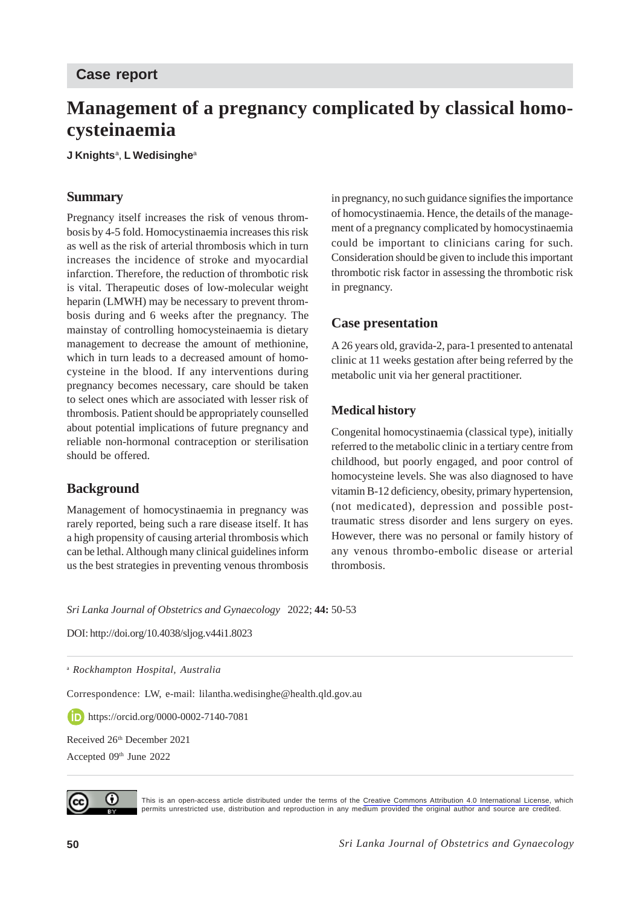# **Management of a pregnancy complicated by classical homocysteinaemia**

**J Knights**<sup>a</sup> , **L Wedisinghe**<sup>a</sup>

### **Summary**

Pregnancy itself increases the risk of venous thrombosis by 4-5 fold. Homocystinaemia increases this risk as well as the risk of arterial thrombosis which in turn increases the incidence of stroke and myocardial infarction. Therefore, the reduction of thrombotic risk is vital. Therapeutic doses of low-molecular weight heparin (LMWH) may be necessary to prevent thrombosis during and 6 weeks after the pregnancy. The mainstay of controlling homocysteinaemia is dietary management to decrease the amount of methionine, which in turn leads to a decreased amount of homocysteine in the blood. If any interventions during pregnancy becomes necessary, care should be taken to select ones which are associated with lesser risk of thrombosis. Patient should be appropriately counselled about potential implications of future pregnancy and reliable non-hormonal contraception or sterilisation should be offered.

# **Background**

Management of homocystinaemia in pregnancy was rarely reported, being such a rare disease itself. It has a high propensity of causing arterial thrombosis which can be lethal. Although many clinical guidelines inform us the best strategies in preventing venous thrombosis

in pregnancy, no such guidance signifies the importance of homocystinaemia. Hence, the details of the management of a pregnancy complicated by homocystinaemia could be important to clinicians caring for such. Consideration should be given to include this important thrombotic risk factor in assessing the thrombotic risk in pregnancy.

# **Case presentation**

A 26 years old, gravida-2, para-1 presented to antenatal clinic at 11 weeks gestation after being referred by the metabolic unit via her general practitioner.

### **Medical history**

Congenital homocystinaemia (classical type), initially referred to the metabolic clinic in a tertiary centre from childhood, but poorly engaged, and poor control of homocysteine levels. She was also diagnosed to have vitamin B-12 deficiency, obesity, primary hypertension, (not medicated), depression and possible posttraumatic stress disorder and lens surgery on eyes. However, there was no personal or family history of any venous thrombo-embolic disease or arterial thrombosis.

*Sri Lanka Journal of Obstetrics and Gynaecology* 2022; **44:** 50-53

DOI: http://doi.org/10.4038/sljog.v44i1.8023

<sup>a</sup> *Rockhampton Hospital, Australia*

Correspondence: LW, e-mail: lilantha.wedisinghe@health.qld.gov.au

https://orcid.org/0000-0002-7140-7081

Received 26<sup>th</sup> December 2021 Accepted 09th June 2022



This is an open-access article distributed under the terms of the [Creative Commons Attribution 4.0 International License,](https://creativecommons.org/licenses/by/4.0/) which permits unrestricted use, distribution and reproduction in any medium provided the original author and source are credited.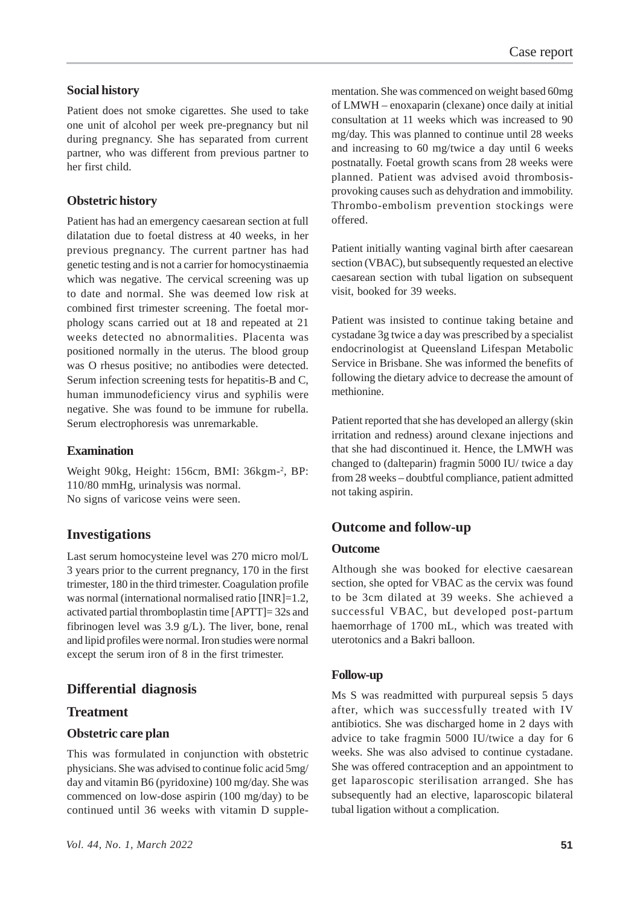## **Social history**

Patient does not smoke cigarettes. She used to take one unit of alcohol per week pre-pregnancy but nil during pregnancy. She has separated from current partner, who was different from previous partner to her first child.

### **Obstetric history**

Patient has had an emergency caesarean section at full dilatation due to foetal distress at 40 weeks, in her previous pregnancy. The current partner has had genetic testing and is not a carrier for homocystinaemia which was negative. The cervical screening was up to date and normal. She was deemed low risk at combined first trimester screening. The foetal morphology scans carried out at 18 and repeated at 21 weeks detected no abnormalities. Placenta was positioned normally in the uterus. The blood group was O rhesus positive; no antibodies were detected. Serum infection screening tests for hepatitis-B and C, human immunodeficiency virus and syphilis were negative. She was found to be immune for rubella. Serum electrophoresis was unremarkable.

#### **Examination**

Weight 90kg, Height: 156cm, BMI: 36kgm-2, BP: 110/80 mmHg, urinalysis was normal. No signs of varicose veins were seen.

# **Investigations**

Last serum homocysteine level was 270 micro mol/L 3 years prior to the current pregnancy, 170 in the first trimester, 180 in the third trimester. Coagulation profile was normal (international normalised ratio [INR]=1.2, activated partial thromboplastin time [APTT]= 32s and fibrinogen level was 3.9 g/L). The liver, bone, renal and lipid profiles were normal. Iron studies were normal except the serum iron of 8 in the first trimester.

### **Differential diagnosis**

### **Treatment**

#### **Obstetric care plan**

This was formulated in conjunction with obstetric physicians. She was advised to continue folic acid 5mg/ day and vitamin B6 (pyridoxine) 100 mg/day. She was commenced on low-dose aspirin (100 mg/day) to be continued until 36 weeks with vitamin D supplementation. She was commenced on weight based 60mg of LMWH – enoxaparin (clexane) once daily at initial consultation at 11 weeks which was increased to 90 mg/day. This was planned to continue until 28 weeks and increasing to 60 mg/twice a day until 6 weeks postnatally. Foetal growth scans from 28 weeks were planned. Patient was advised avoid thrombosisprovoking causes such as dehydration and immobility. Thrombo-embolism prevention stockings were offered.

Patient initially wanting vaginal birth after caesarean section (VBAC), but subsequently requested an elective caesarean section with tubal ligation on subsequent visit, booked for 39 weeks.

Patient was insisted to continue taking betaine and cystadane 3g twice a day was prescribed by a specialist endocrinologist at Queensland Lifespan Metabolic Service in Brisbane. She was informed the benefits of following the dietary advice to decrease the amount of methionine.

Patient reported that she has developed an allergy (skin irritation and redness) around clexane injections and that she had discontinued it. Hence, the LMWH was changed to (dalteparin) fragmin 5000 IU/ twice a day from 28 weeks – doubtful compliance, patient admitted not taking aspirin.

# **Outcome and follow-up**

#### **Outcome**

Although she was booked for elective caesarean section, she opted for VBAC as the cervix was found to be 3cm dilated at 39 weeks. She achieved a successful VBAC, but developed post-partum haemorrhage of 1700 mL, which was treated with uterotonics and a Bakri balloon.

#### **Follow-up**

Ms S was readmitted with purpureal sepsis 5 days after, which was successfully treated with IV antibiotics. She was discharged home in 2 days with advice to take fragmin 5000 IU/twice a day for 6 weeks. She was also advised to continue cystadane. She was offered contraception and an appointment to get laparoscopic sterilisation arranged. She has subsequently had an elective, laparoscopic bilateral tubal ligation without a complication.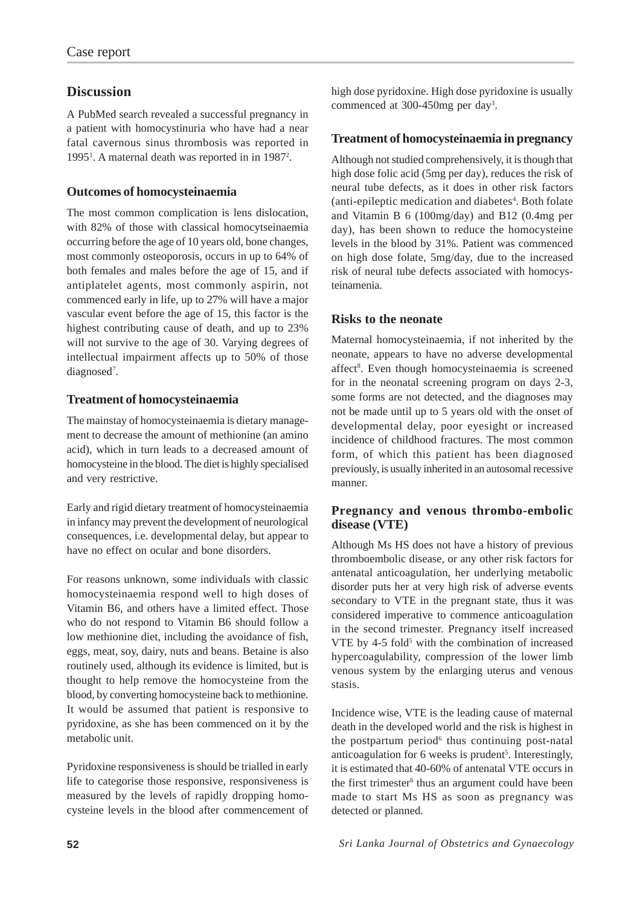# **Discussion**

A PubMed search revealed a successful pregnancy in a patient with homocystinuria who have had a near fatal cavernous sinus thrombosis was reported in 1995<sup>1</sup>. A maternal death was reported in in 1987<sup>2</sup>.

# **Outcomes of homocysteinaemia**

The most common complication is lens dislocation, with 82% of those with classical homocytseinaemia occurring before the age of 10 years old, bone changes, most commonly osteoporosis, occurs in up to 64% of both females and males before the age of 15, and if antiplatelet agents, most commonly aspirin, not commenced early in life, up to 27% will have a major vascular event before the age of 15, this factor is the highest contributing cause of death, and up to 23% will not survive to the age of 30. Varying degrees of intellectual impairment affects up to 50% of those diagnosed<sup>7</sup>.

# **Treatment of homocysteinaemia**

The mainstay of homocysteinaemia is dietary management to decrease the amount of methionine (an amino acid), which in turn leads to a decreased amount of homocysteine in the blood. The diet is highly specialised and very restrictive.

Early and rigid dietary treatment of homocysteinaemia in infancy may prevent the development of neurological consequences, i.e. developmental delay, but appear to have no effect on ocular and bone disorders.

For reasons unknown, some individuals with classic homocysteinaemia respond well to high doses of Vitamin B6, and others have a limited effect. Those who do not respond to Vitamin B6 should follow a low methionine diet, including the avoidance of fish, eggs, meat, soy, dairy, nuts and beans. Betaine is also routinely used, although its evidence is limited, but is thought to help remove the homocysteine from the blood, by converting homocysteine back to methionine. It would be assumed that patient is responsive to pyridoxine, as she has been commenced on it by the metabolic unit.

Pyridoxine responsiveness is should be trialled in early life to categorise those responsive, responsiveness is measured by the levels of rapidly dropping homocysteine levels in the blood after commencement of high dose pyridoxine. High dose pyridoxine is usually commenced at 300-450mg per day<sup>3</sup>.

### **Treatment of homocysteinaemia in pregnancy**

Although not studied comprehensively, it is though that high dose folic acid (5mg per day), reduces the risk of neural tube defects, as it does in other risk factors (anti-epileptic medication and diabetes<sup>4</sup>. Both folate and Vitamin B 6 (100mg/day) and B12 (0.4mg per day), has been shown to reduce the homocysteine levels in the blood by 31%. Patient was commenced on high dose folate, 5mg/day, due to the increased risk of neural tube defects associated with homocysteinamenia.

# **Risks to the neonate**

Maternal homocysteinaemia, if not inherited by the neonate, appears to have no adverse developmental affect<sup>8</sup>. Even though homocysteinaemia is screened for in the neonatal screening program on days 2-3, some forms are not detected, and the diagnoses may not be made until up to 5 years old with the onset of developmental delay, poor eyesight or increased incidence of childhood fractures. The most common form, of which this patient has been diagnosed previously, is usually inherited in an autosomal recessive manner.

### **Pregnancy and venous thrombo-embolic disease (VTE)**

Although Ms HS does not have a history of previous thromboembolic disease, or any other risk factors for antenatal anticoagulation, her underlying metabolic disorder puts her at very high risk of adverse events secondary to VTE in the pregnant state, thus it was considered imperative to commence anticoagulation in the second trimester. Pregnancy itself increased VTE by 4-5 fold<sup>5</sup> with the combination of increased hypercoagulability, compression of the lower limb venous system by the enlarging uterus and venous stasis.

Incidence wise, VTE is the leading cause of maternal death in the developed world and the risk is highest in the postpartum period $6$  thus continuing post-natal anticoagulation for 6 weeks is prudent<sup>5</sup>. Interestingly, it is estimated that 40-60% of antenatal VTE occurs in the first trimester<sup>6</sup> thus an argument could have been made to start Ms HS as soon as pregnancy was detected or planned.